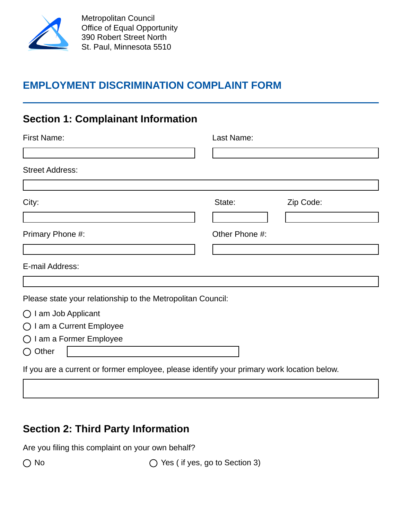

### **EMPLOYMENT DISCRIMINATION COMPLAINT FORM**

### **Section 1: Complainant Information**

| <b>First Name:</b>                                                                         | Last Name:     |           |
|--------------------------------------------------------------------------------------------|----------------|-----------|
|                                                                                            |                |           |
| <b>Street Address:</b>                                                                     |                |           |
| City:                                                                                      | State:         | Zip Code: |
|                                                                                            |                |           |
| Primary Phone #:                                                                           | Other Phone #: |           |
|                                                                                            |                |           |
| E-mail Address:                                                                            |                |           |
|                                                                                            |                |           |
| Please state your relationship to the Metropolitan Council:                                |                |           |
| $\bigcirc$ I am Job Applicant                                                              |                |           |
| $\bigcirc$ I am a Current Employee                                                         |                |           |
| ◯ I am a Former Employee                                                                   |                |           |
| $\bigcirc$ Other                                                                           |                |           |
| If you are a current or former employee, please identify your primary work location below. |                |           |

# **Section 2: Third Party Information**

Are you filing this complaint on your own behalf?

◯ No  $\bigcirc$  Yes (if yes, go to Section 3)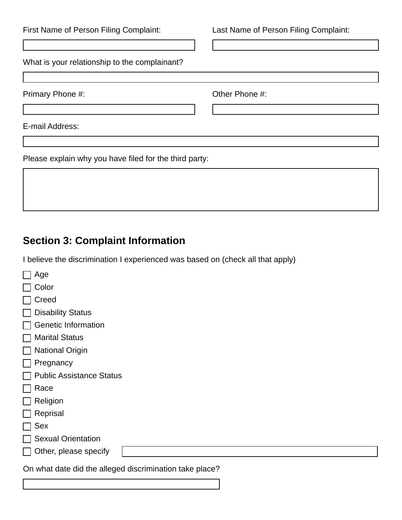| First Name of Person Filing Complaint:                 | Last Name of Person Filing Complaint: |
|--------------------------------------------------------|---------------------------------------|
| What is your relationship to the complainant?          |                                       |
| Primary Phone #:                                       | Other Phone #:                        |
| E-mail Address:                                        |                                       |
| Please explain why you have filed for the third party: |                                       |

# **Section 3: Complaint Information**

I believe the discrimination I experienced was based on (check all that apply)

| Age                                                     |
|---------------------------------------------------------|
| Color                                                   |
| Creed                                                   |
| <b>Disability Status</b>                                |
| <b>Genetic Information</b>                              |
| <b>Marital Status</b>                                   |
| <b>National Origin</b>                                  |
| Pregnancy                                               |
| <b>Public Assistance Status</b>                         |
| Race                                                    |
| Religion                                                |
| Reprisal                                                |
| <b>Sex</b>                                              |
| <b>Sexual Orientation</b>                               |
| Other, please specify                                   |
| On what date did the alleged discrimination take place? |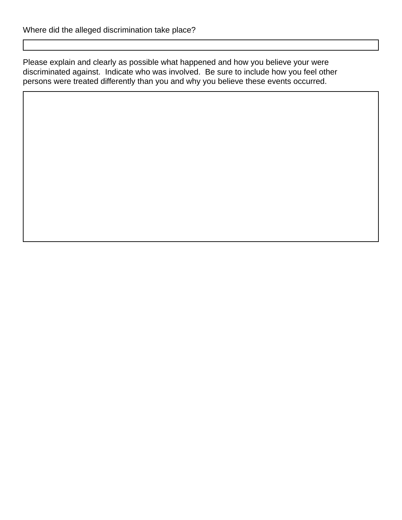Please explain and clearly as possible what happened and how you believe your were discriminated against. Indicate who was involved. Be sure to include how you feel other persons were treated differently than you and why you believe these events occurred.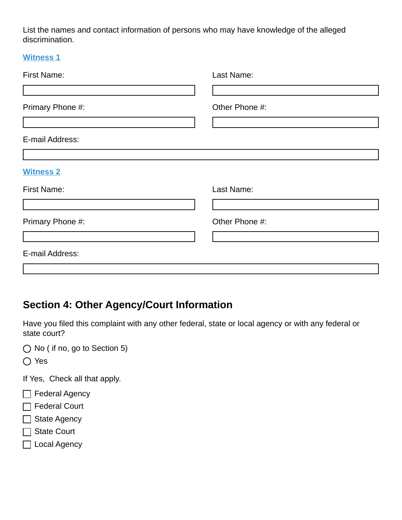List the names and contact information of persons who may have knowledge of the alleged discrimination.

|  | with |  |
|--|------|--|
|--|------|--|

| <b>First Name:</b> | Last Name:     |
|--------------------|----------------|
|                    |                |
| Primary Phone #:   | Other Phone #: |
|                    |                |
| E-mail Address:    |                |
|                    |                |
| <b>Witness 2</b>   |                |
| <b>First Name:</b> | Last Name:     |
|                    |                |
| Primary Phone #:   | Other Phone #: |
|                    |                |
| E-mail Address:    |                |
|                    |                |

# **Section 4: Other Agency/Court Information**

Have you filed this complaint with any other federal, state or local agency or with any federal or state court?

◯ No ( if no, go to Section 5)

○ Yes

If Yes, Check all that apply.

- $\Box$  Federal Agency
- □ Federal Court
- □ State Agency
- □ State Court
- □ Local Agency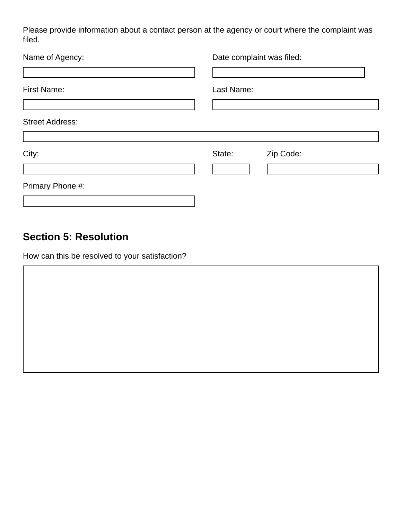Please provide information about a contact person at the agency or court where the complaint was filed.

| Name of Agency:        |            | Date complaint was filed: |
|------------------------|------------|---------------------------|
| <b>First Name:</b>     | Last Name: |                           |
| <b>Street Address:</b> |            |                           |
| City:                  | State:     | Zip Code:                 |
| Primary Phone #:       |            |                           |

#### **Section 5: Resolution**

How can this be resolved to your satisfaction?